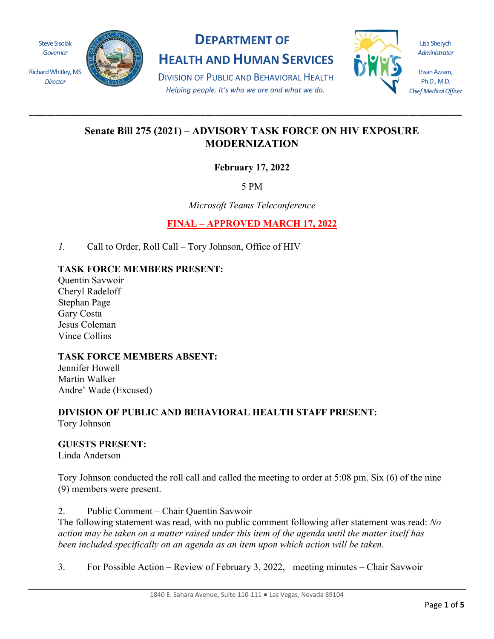

# **DEPARTMENT OF**

**HEALTH AND HUMAN SERVICES**

DIVISION OF PUBLIC AND BEHAVIORAL HEALTH *Helping people. It's who we are and what we do.*

**\_\_\_\_\_\_\_\_\_\_\_\_\_\_\_\_\_\_\_\_\_\_\_\_\_\_\_\_\_\_\_\_\_\_\_\_\_\_\_\_\_\_\_\_\_\_\_\_\_\_\_\_\_\_\_\_\_\_\_\_\_\_\_\_\_\_\_\_\_\_\_\_\_\_\_\_\_\_\_\_\_\_\_\_\_\_\_\_\_\_\_\_\_\_\_\_\_\_**



Lisa Sherych *Administrator*

Ihsan Azzam, Ph.D., M.D. *Chief Medical Officer*

# **Senate Bill 275 (2021) – ADVISORY TASK FORCE ON HIV EXPOSURE MODERNIZATION**

**February 17, 2022** 

5 PM

*Microsoft Teams Teleconference*

**FINAL – APPROVED MARCH 17, 2022** 

*1.* Call to Order, Roll Call – Tory Johnson, Office of HIV

# **TASK FORCE MEMBERS PRESENT:**

Quentin Savwoir Cheryl Radeloff Stephan Page Gary Costa Jesus Coleman Vince Collins

# **TASK FORCE MEMBERS ABSENT:**

Jennifer Howell Martin Walker Andre' Wade (Excused)

#### **DIVISION OF PUBLIC AND BEHAVIORAL HEALTH STAFF PRESENT:** Tory Johnson

**GUESTS PRESENT:**

Linda Anderson

Tory Johnson conducted the roll call and called the meeting to order at 5:08 pm. Six (6) of the nine (9) members were present.

2. Public Comment – Chair Quentin Savwoir

The following statement was read, with no public comment following after statement was read: *No action may be taken on a matter raised under this item of the agenda until the matter itself has been included specifically on an agenda as an item upon which action will be taken.* 

3. For Possible Action – Review of February 3, 2022, meeting minutes – Chair Savwoir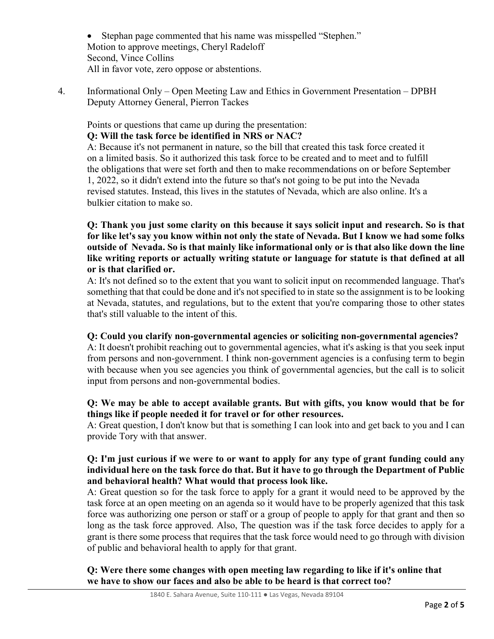• Stephan page commented that his name was misspelled "Stephen." Motion to approve meetings, Cheryl Radeloff Second, Vince Collins All in favor vote, zero oppose or abstentions.

4. Informational Only – Open Meeting Law and Ethics in Government Presentation – DPBH Deputy Attorney General, Pierron Tackes

Points or questions that came up during the presentation:

#### **Q: Will the task force be identified in NRS or NAC?**

A: Because it's not permanent in nature, so the bill that created this task force created it on a limited basis. So it authorized this task force to be created and to meet and to fulfill the obligations that were set forth and then to make recommendations on or before September 1, 2022, so it didn't extend into the future so that's not going to be put into the Nevada revised statutes. Instead, this lives in the statutes of Nevada, which are also online. It's a bulkier citation to make so.

**Q: Thank you just some clarity on this because it says solicit input and research. So is that for like let's say you know within not only the state of Nevada. But I know we had some folks outside of Nevada. So is that mainly like informational only or is that also like down the line like writing reports or actually writing statute or language for statute is that defined at all or is that clarified or.**

A: It's not defined so to the extent that you want to solicit input on recommended language. That's something that that could be done and it's not specified to in state so the assignment is to be looking at Nevada, statutes, and regulations, but to the extent that you're comparing those to other states that's still valuable to the intent of this.

#### **Q: Could you clarify non-governmental agencies or soliciting non-governmental agencies?**

A: It doesn't prohibit reaching out to governmental agencies, what it's asking is that you seek input from persons and non-government. I think non-government agencies is a confusing term to begin with because when you see agencies you think of governmental agencies, but the call is to solicit input from persons and non-governmental bodies.

## **Q: We may be able to accept available grants. But with gifts, you know would that be for things like if people needed it for travel or for other resources.**

A: Great question, I don't know but that is something I can look into and get back to you and I can provide Tory with that answer.

#### **Q: I'm just curious if we were to or want to apply for any type of grant funding could any individual here on the task force do that. But it have to go through the Department of Public and behavioral health? What would that process look like.**

A: Great question so for the task force to apply for a grant it would need to be approved by the task force at an open meeting on an agenda so it would have to be properly agenized that this task force was authorizing one person or staff or a group of people to apply for that grant and then so long as the task force approved. Also, The question was if the task force decides to apply for a grant is there some process that requires that the task force would need to go through with division of public and behavioral health to apply for that grant.

## **Q: Were there some changes with open meeting law regarding to like if it's online that we have to show our faces and also be able to be heard is that correct too?**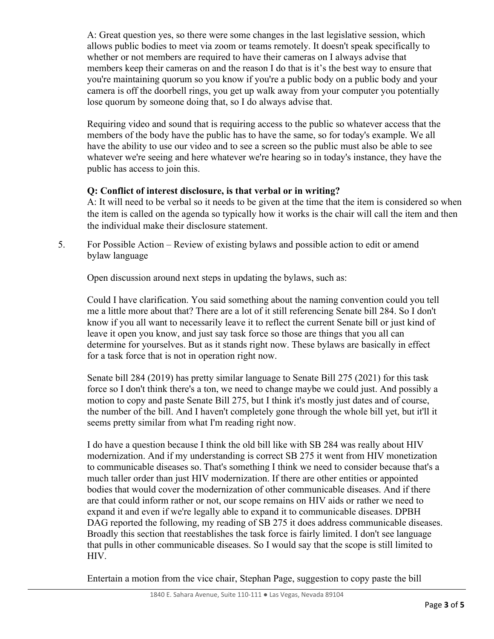A: Great question yes, so there were some changes in the last legislative session, which allows public bodies to meet via zoom or teams remotely. It doesn't speak specifically to whether or not members are required to have their cameras on I always advise that members keep their cameras on and the reason I do that is it's the best way to ensure that you're maintaining quorum so you know if you're a public body on a public body and your camera is off the doorbell rings, you get up walk away from your computer you potentially lose quorum by someone doing that, so I do always advise that.

Requiring video and sound that is requiring access to the public so whatever access that the members of the body have the public has to have the same, so for today's example. We all have the ability to use our video and to see a screen so the public must also be able to see whatever we're seeing and here whatever we're hearing so in today's instance, they have the public has access to join this.

## **Q: Conflict of interest disclosure, is that verbal or in writing?**

A: It will need to be verbal so it needs to be given at the time that the item is considered so when the item is called on the agenda so typically how it works is the chair will call the item and then the individual make their disclosure statement.

5. For Possible Action – Review of existing bylaws and possible action to edit or amend bylaw language

Open discussion around next steps in updating the bylaws, such as:

Could I have clarification. You said something about the naming convention could you tell me a little more about that? There are a lot of it still referencing Senate bill 284. So I don't know if you all want to necessarily leave it to reflect the current Senate bill or just kind of leave it open you know, and just say task force so those are things that you all can determine for yourselves. But as it stands right now. These bylaws are basically in effect for a task force that is not in operation right now.

Senate bill 284 (2019) has pretty similar language to Senate Bill 275 (2021) for this task force so I don't think there's a ton, we need to change maybe we could just. And possibly a motion to copy and paste Senate Bill 275, but I think it's mostly just dates and of course, the number of the bill. And I haven't completely gone through the whole bill yet, but it'll it seems pretty similar from what I'm reading right now.

I do have a question because I think the old bill like with SB 284 was really about HIV modernization. And if my understanding is correct SB 275 it went from HIV monetization to communicable diseases so. That's something I think we need to consider because that's a much taller order than just HIV modernization. If there are other entities or appointed bodies that would cover the modernization of other communicable diseases. And if there are that could inform rather or not, our scope remains on HIV aids or rather we need to expand it and even if we're legally able to expand it to communicable diseases. DPBH DAG reported the following, my reading of SB 275 it does address communicable diseases. Broadly this section that reestablishes the task force is fairly limited. I don't see language that pulls in other communicable diseases. So I would say that the scope is still limited to HIV.

Entertain a motion from the vice chair, Stephan Page, suggestion to copy paste the bill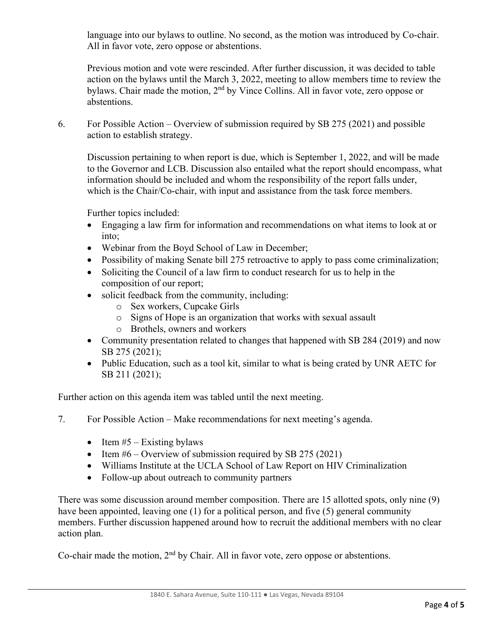language into our bylaws to outline. No second, as the motion was introduced by Co-chair. All in favor vote, zero oppose or abstentions.

Previous motion and vote were rescinded. After further discussion, it was decided to table action on the bylaws until the March 3, 2022, meeting to allow members time to review the bylaws. Chair made the motion, 2<sup>nd</sup> by Vince Collins. All in favor vote, zero oppose or abstentions.

6. For Possible Action – Overview of submission required by SB 275 (2021) and possible action to establish strategy.

Discussion pertaining to when report is due, which is September 1, 2022, and will be made to the Governor and LCB. Discussion also entailed what the report should encompass, what information should be included and whom the responsibility of the report falls under, which is the Chair/Co-chair, with input and assistance from the task force members.

Further topics included:

- Engaging a law firm for information and recommendations on what items to look at or into;
- Webinar from the Boyd School of Law in December;
- Possibility of making Senate bill 275 retroactive to apply to pass come criminalization;
- Soliciting the Council of a law firm to conduct research for us to help in the composition of our report;
- solicit feedback from the community, including:
	- o Sex workers, Cupcake Girls
	- o Signs of Hope is an organization that works with sexual assault
	- o Brothels, owners and workers
- Community presentation related to changes that happened with SB 284 (2019) and now SB 275 (2021);
- Public Education, such as a tool kit, similar to what is being crated by UNR AETC for SB 211 (2021);

Further action on this agenda item was tabled until the next meeting.

- 7. For Possible Action Make recommendations for next meeting's agenda.
	- Item  $#5$  Existing bylaws
	- Item  $#6$  Overview of submission required by SB 275 (2021)
	- Williams Institute at the UCLA School of Law Report on HIV Criminalization
	- Follow-up about outreach to community partners

There was some discussion around member composition. There are 15 allotted spots, only nine (9) have been appointed, leaving one  $(1)$  for a political person, and five  $(5)$  general community members. Further discussion happened around how to recruit the additional members with no clear action plan.

Co-chair made the motion,  $2<sup>nd</sup>$  by Chair. All in favor vote, zero oppose or abstentions.